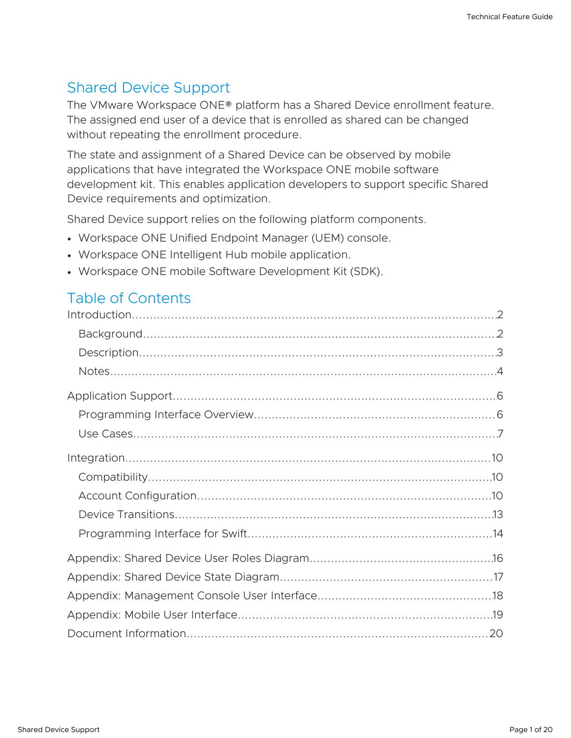# Shared Device Support

The VMware Workspace ONE® platform has a Shared Device enrollment feature. The assigned end user of a device that is enrolled as shared can be changed without repeating the enrollment procedure.

The state and assignment of a Shared Device can be observed by mobile applications that have integrated the Workspace ONE mobile software development kit. This enables application developers to support specific Shared Device requirements and optimization.

Shared Device support relies on the following platform components.

- Workspace ONE Unified Endpoint Manager (UEM) console.
- Workspace ONE Intelligent Hub mobile application.
- Workspace ONE mobile Software Development Kit (SDK).

## Table of Contents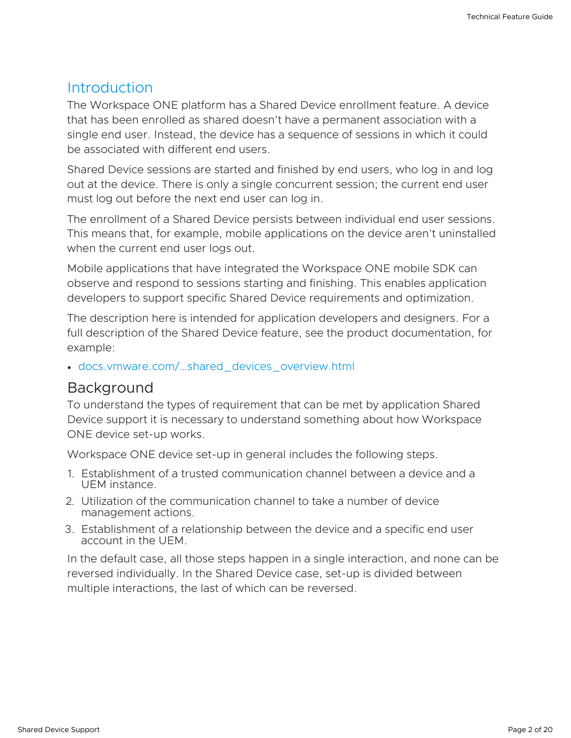#### <span id="page-1-0"></span>**Introduction**

The Workspace ONE platform has a Shared Device enrollment feature. A device that has been enrolled as shared doesn't have a permanent association with a single end user. Instead, the device has a sequence of sessions in which it could be associated with different end users.

Shared Device sessions are started and finished by end users, who log in and log out at the device. There is only a single concurrent session; the current end user must log out before the next end user can log in.

The enrollment of a Shared Device persists between individual end user sessions. This means that, for example, mobile applications on the device aren't uninstalled when the current end user logs out.

Mobile applications that have integrated the Workspace ONE mobile SDK can observe and respond to sessions starting and finishing. This enables application developers to support specific Shared Device requirements and optimization.

The description here is intended for application developers and designers. For a full description of the Shared Device feature, see the product documentation, for example:

[docs.vmware.com/…shared\\_devices\\_overview.html](https://docs.vmware.com/en/VMware-Workspace-ONE-UEM/services/ws1uem-shared-devices-documentation/GUID-shared_devices_overview.html)

#### <span id="page-1-1"></span>Background

To understand the types of requirement that can be met by application Shared Device support it is necessary to understand something about how Workspace ONE device set-up works.

Workspace ONE device set-up in general includes the following steps.

- 1. Establishment of a trusted communication channel between a device and a UEM instance.
- 2. Utilization of the communication channel to take a number of device management actions.
- 3. Establishment of a relationship between the device and a specific end user account in the UEM.

In the default case, all those steps happen in a single interaction, and none can be reversed individually. In the Shared Device case, set-up is divided between multiple interactions, the last of which can be reversed.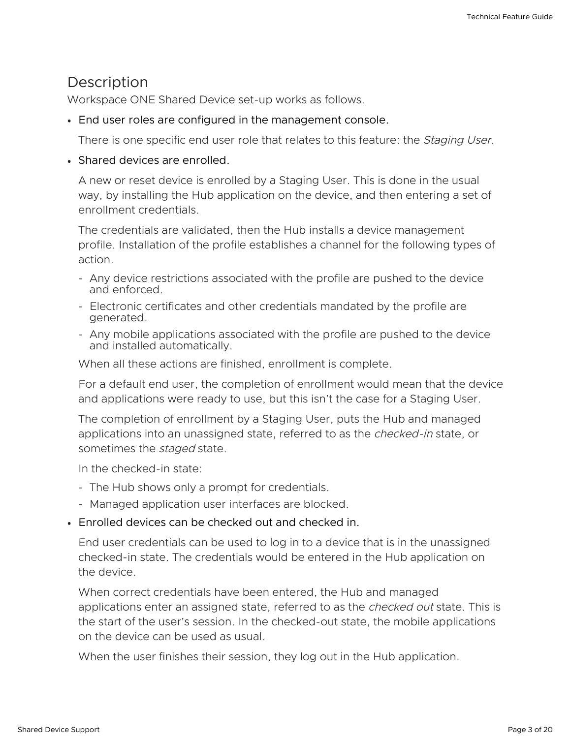#### <span id="page-2-0"></span>**Description**

Workspace ONE Shared Device set-up works as follows.

End user roles are configured in the management console.

There is one specific end user role that relates to this feature: the *Staging User*.

#### • Shared devices are enrolled.

A new or reset device is enrolled by a Staging User. This is done in the usual way, by installing the Hub application on the device, and then entering a set of enrollment credentials.

The credentials are validated, then the Hub installs a device management profile. Installation of the profile establishes a channel for the following types of action.

- Any device restrictions associated with the profile are pushed to the device and enforced.
- Electronic certificates and other credentials mandated by the profile are generated.
- Any mobile applications associated with the profile are pushed to the device and installed automatically.

When all these actions are finished, enrollment is complete.

For a default end user, the completion of enrollment would mean that the device and applications were ready to use, but this isn't the case for a Staging User.

The completion of enrollment by a Staging User, puts the Hub and managed applications into an unassigned state, referred to as the *checked-in* state, or sometimes the *staged* state.

In the checked-in state:

- The Hub shows only a prompt for credentials.
- Managed application user interfaces are blocked.
- Enrolled devices can be checked out and checked in.

End user credentials can be used to log in to a device that is in the unassigned checked-in state. The credentials would be entered in the Hub application on the device.

When correct credentials have been entered, the Hub and managed applications enter an assigned state, referred to as the *checked out* state. This is the start of the user's session. In the checked-out state, the mobile applications on the device can be used as usual.

When the user finishes their session, they log out in the Hub application.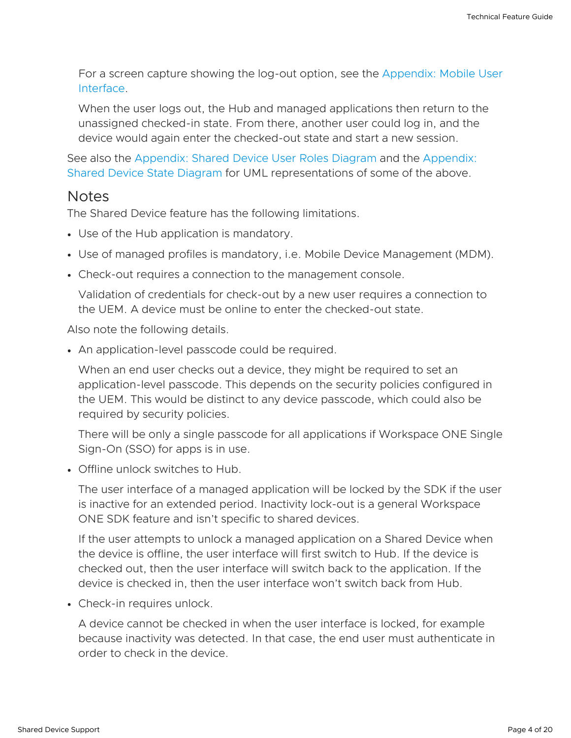For a screen capture showing the log-out option, see the [Appendix:](#page-18-0) Mobile User Interface.

When the user logs out, the Hub and managed applications then return to the unassigned checked-in state. From there, another user could log in, and the device would again enter the checked-out state and start a new session.

See also the [Appendix:](#page-15-0) Shared Device User Roles Diagram and the Appendix: Shared Device State Diagram for UML [representations](#page-16-0) of some of the above.

#### <span id="page-3-0"></span>**Notes**

The Shared Device feature has the following limitations.

- Use of the Hub application is mandatory.
- Use of managed profiles is mandatory, i.e. Mobile Device Management (MDM).
- Check-out requires a connection to the management console.

Validation of credentials for check-out by a new user requires a connection to the UEM. A device must be online to enter the checked-out state.

Also note the following details.

An application-level passcode could be required.

When an end user checks out a device, they might be required to set an application-level passcode. This depends on the security policies configured in the UEM. This would be distinct to any device passcode, which could also be required by security policies.

There will be only a single passcode for all applications if Workspace ONE Single Sign-On (SSO) for apps is in use.

Offline unlock switches to Hub.

The user interface of a managed application will be locked by the SDK if the user is inactive for an extended period. Inactivity lock-out is a general Workspace ONE SDK feature and isn't specific to shared devices.

If the user attempts to unlock a managed application on a Shared Device when the device is offline, the user interface will first switch to Hub. If the device is checked out, then the user interface will switch back to the application. If the device is checked in, then the user interface won't switch back from Hub.

• Check-in requires unlock.

A device cannot be checked in when the user interface is locked, for example because inactivity was detected. In that case, the end user must authenticate in order to check in the device.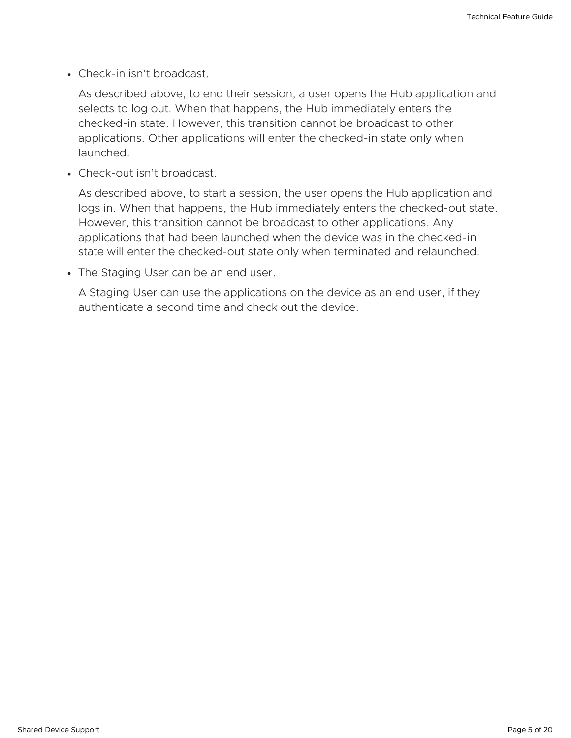• Check-in isn't broadcast.

As described above, to end their session, a user opens the Hub application and selects to log out. When that happens, the Hub immediately enters the checked-in state. However, this transition cannot be broadcast to other applications. Other applications will enter the checked-in state only when launched.

Check-out isn't broadcast.

As described above, to start a session, the user opens the Hub application and logs in. When that happens, the Hub immediately enters the checked-out state. However, this transition cannot be broadcast to other applications. Any applications that had been launched when the device was in the checked-in state will enter the checked-out state only when terminated and relaunched.

• The Staging User can be an end user.

A Staging User can use the applications on the device as an end user, if they authenticate a second time and check out the device.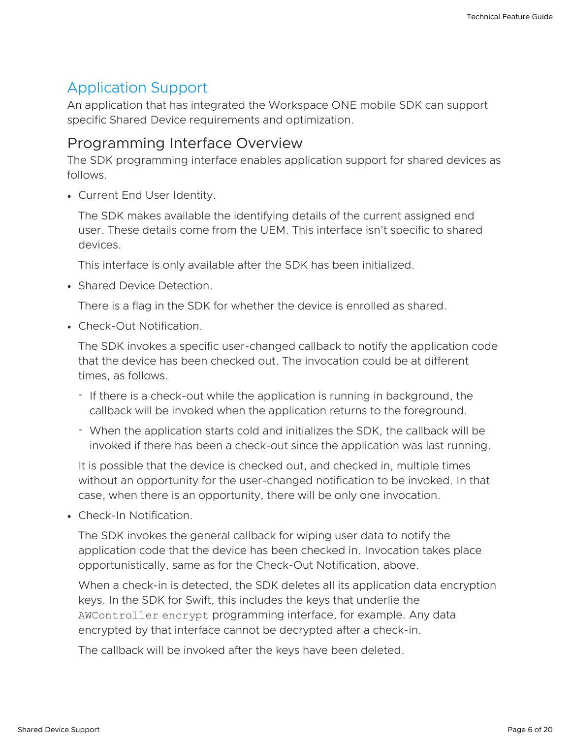# <span id="page-5-0"></span>Application Support

An application that has integrated the Workspace ONE mobile SDK can support specific Shared Device requirements and optimization.

#### <span id="page-5-1"></span>Programming Interface Overview

The SDK programming interface enables application support for shared devices as follows.

Current End User Identity.

The SDK makes available the identifying details of the current assigned end user. These details come from the UEM. This interface isn't specific to shared devices.

This interface is only available after the SDK has been initialized.

• Shared Device Detection.

There is a flag in the SDK for whether the device is enrolled as shared.

Check-Out Notification.

The SDK invokes a specific user-changed callback to notify the application code that the device has been checked out. The invocation could be at different times, as follows.

- If there is a check-out while the application is running in background, the callback will be invoked when the application returns to the foreground.
- When the application starts cold and initializes the SDK, the callback will be invoked if there has been a check-out since the application was last running.

It is possible that the device is checked out, and checked in, multiple times without an opportunity for the user-changed notification to be invoked. In that case, when there is an opportunity, there will be only one invocation.

Check-In Notification.

The SDK invokes the general callback for wiping user data to notify the application code that the device has been checked in. Invocation takes place opportunistically, same as for the Check-Out Notification, above.

When a check-in is detected, the SDK deletes all its application data encryption keys. In the SDK for Swift, this includes the keys that underlie the AWController encrypt programming interface, for example. Any data encrypted by that interface cannot be decrypted after a check-in.

The callback will be invoked after the keys have been deleted.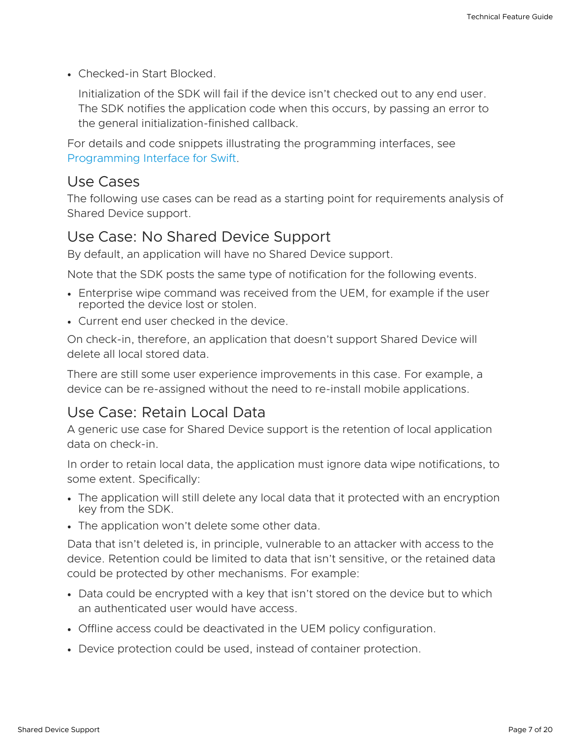Checked-in Start Blocked.

Initialization of the SDK will fail if the device isn't checked out to any end user. The SDK notifies the application code when this occurs, by passing an error to the general initialization-finished callback.

For details and code snippets illustrating the programming interfaces, see [Programming](#page-13-0) Interface for Swift.

#### <span id="page-6-0"></span>Use Cases

The following use cases can be read as a starting point for requirements analysis of Shared Device support.

#### Use Case: No Shared Device Support

By default, an application will have no Shared Device support.

Note that the SDK posts the same type of notification for the following events.

- Enterprise wipe command was received from the UEM, for example if the user reported the device lost or stolen.
- Current end user checked in the device.

On check-in, therefore, an application that doesn't support Shared Device will delete all local stored data.

There are still some user experience improvements in this case. For example, a device can be re-assigned without the need to re-install mobile applications.

## Use Case: Retain Local Data

A generic use case for Shared Device support is the retention of local application data on check-in.

In order to retain local data, the application must ignore data wipe notifications, to some extent. Specifically:

- The application will still delete any local data that it protected with an encryption key from the SDK.
- The application won't delete some other data.

Data that isn't deleted is, in principle, vulnerable to an attacker with access to the device. Retention could be limited to data that isn't sensitive, or the retained data could be protected by other mechanisms. For example:

- Data could be encrypted with a key that isn't stored on the device but to which an authenticated user would have access.
- Offline access could be deactivated in the UEM policy configuration.
- Device protection could be used, instead of container protection.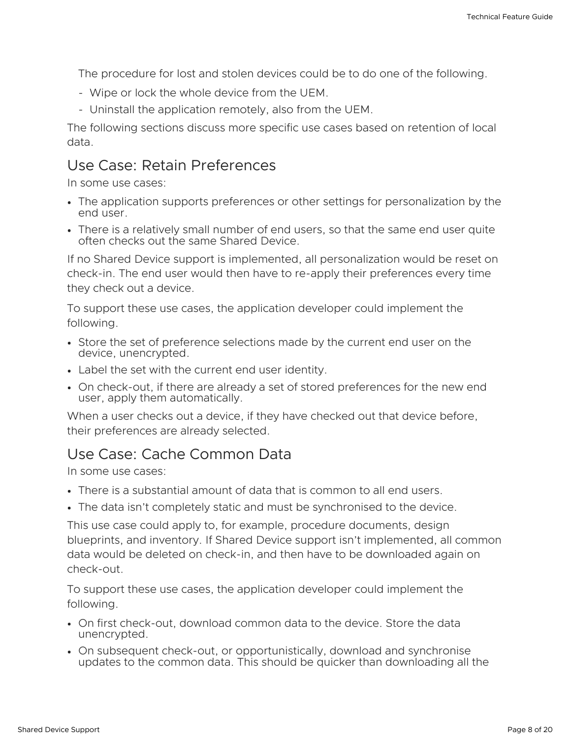The procedure for lost and stolen devices could be to do one of the following.

- Wipe or lock the whole device from the UEM.
- Uninstall the application remotely, also from the UEM. -

The following sections discuss more specific use cases based on retention of local data.

#### Use Case: Retain Preferences

In some use cases:

- The application supports preferences or other settings for personalization by the end user.
- There is a relatively small number of end users, so that the same end user quite often checks out the same Shared Device.

If no Shared Device support is implemented, all personalization would be reset on check-in. The end user would then have to re-apply their preferences every time they check out a device.

To support these use cases, the application developer could implement the following.

- Store the set of preference selections made by the current end user on the device, unencrypted.
- Label the set with the current end user identity.
- On check-out, if there are already a set of stored preferences for the new end user, apply them automatically.

When a user checks out a device, if they have checked out that device before, their preferences are already selected.

#### Use Case: Cache Common Data

In some use cases:

- There is a substantial amount of data that is common to all end users.
- The data isn't completely static and must be synchronised to the device.

This use case could apply to, for example, procedure documents, design blueprints, and inventory. If Shared Device support isn't implemented, all common data would be deleted on check-in, and then have to be downloaded again on check-out.

To support these use cases, the application developer could implement the following.

- On first check-out, download common data to the device. Store the data unencrypted.
- On subsequent check-out, or opportunistically, download and synchronise updates to the common data. This should be quicker than downloading all the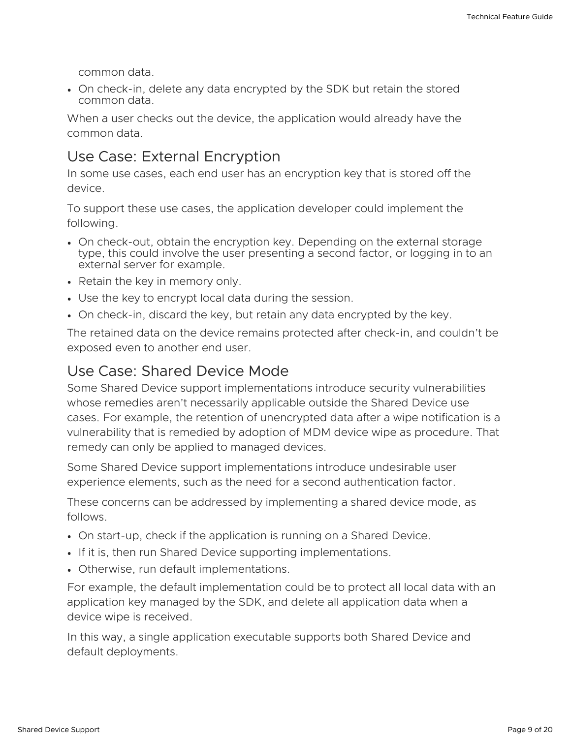common data.

On check-in, delete any data encrypted by the SDK but retain the stored common data.

When a user checks out the device, the application would already have the common data.

#### Use Case: External Encryption

In some use cases, each end user has an encryption key that is stored off the device.

To support these use cases, the application developer could implement the following.

- On check-out, obtain the encryption key. Depending on the external storage type, this could involve the user presenting a second factor, or logging in to an external server for example.
- Retain the key in memory only.
- Use the key to encrypt local data during the session.
- On check-in, discard the key, but retain any data encrypted by the key.

The retained data on the device remains protected after check-in, and couldn't be exposed even to another end user.

#### Use Case: Shared Device Mode

Some Shared Device support implementations introduce security vulnerabilities whose remedies aren't necessarily applicable outside the Shared Device use cases. For example, the retention of unencrypted data after a wipe notification is a vulnerability that is remedied by adoption of MDM device wipe as procedure. That remedy can only be applied to managed devices.

Some Shared Device support implementations introduce undesirable user experience elements, such as the need for a second authentication factor.

These concerns can be addressed by implementing a shared device mode, as follows.

- On start-up, check if the application is running on a Shared Device.
- If it is, then run Shared Device supporting implementations.
- Otherwise, run default implementations.

For example, the default implementation could be to protect all local data with an application key managed by the SDK, and delete all application data when a device wipe is received.

In this way, a single application executable supports both Shared Device and default deployments.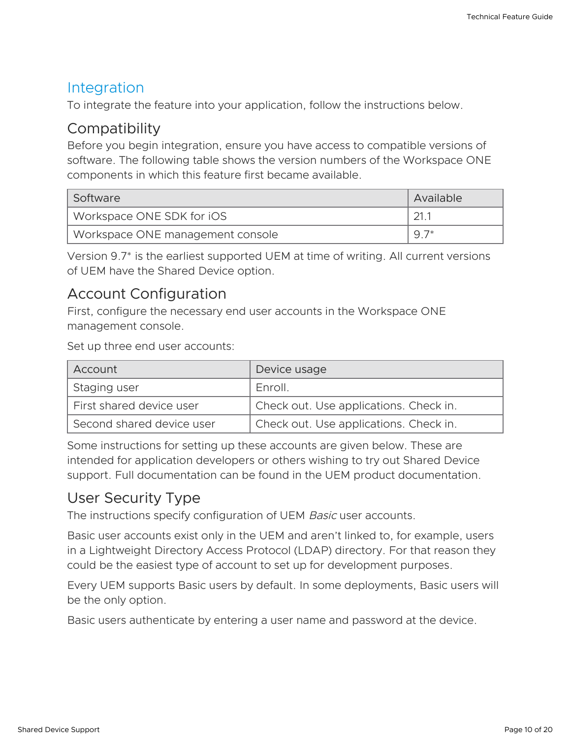#### <span id="page-9-0"></span>Integration

To integrate the feature into your application, follow the instructions below.

#### <span id="page-9-1"></span>**Compatibility**

Before you begin integration, ensure you have access to compatible versions of software. The following table shows the version numbers of the Workspace ONE components in which this feature first became available.

| Software                         | Available |
|----------------------------------|-----------|
| Workspace ONE SDK for iOS        | 21.1      |
| Workspace ONE management console | $Q^7*$    |

Version 9.7\* is the earliest supported UEM at time of writing. All current versions of UEM have the Shared Device option.

#### <span id="page-9-2"></span>Account Configuration

First, configure the necessary end user accounts in the Workspace ONE management console.

Set up three end user accounts:

| Account                   | Device usage                           |
|---------------------------|----------------------------------------|
| Staging user              | Enroll.                                |
| First shared device user  | Check out. Use applications. Check in. |
| Second shared device user | Check out. Use applications. Check in. |

Some instructions for setting up these accounts are given below. These are intended for application developers or others wishing to try out Shared Device support. Full documentation can be found in the UEM product documentation.

## User Security Type

The instructions specify configuration of UEM Basic user accounts.

Basic user accounts exist only in the UEM and aren't linked to, for example, users in a Lightweight Directory Access Protocol (LDAP) directory. For that reason they could be the easiest type of account to set up for development purposes.

Every UEM supports Basic users by default. In some deployments, Basic users will be the only option.

Basic users authenticate by entering a user name and password at the device.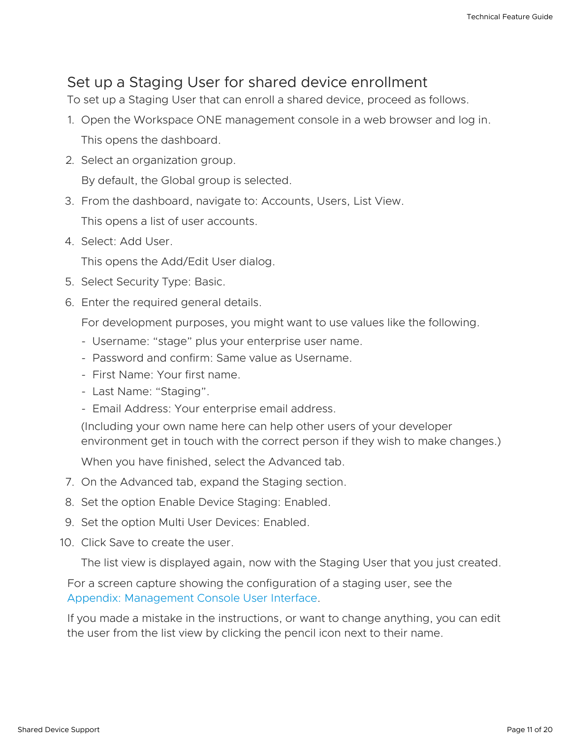#### Set up a Staging User for shared device enrollment

To set up a Staging User that can enroll a shared device, proceed as follows.

- 1. Open the Workspace ONE management console in a web browser and log in. This opens the dashboard.
- 2. Select an organization group.

By default, the Global group is selected.

3. From the dashboard, navigate to: Accounts, Users, List View.

This opens a list of user accounts.

4. Select: Add User.

This opens the Add/Edit User dialog.

- 5. Select Security Type: Basic.
- 6. Enter the required general details.

For development purposes, you might want to use values like the following.

- Username: "stage" plus your enterprise user name. -
- Password and confirm: Same value as Username. -
- First Name: Your first name.
- Last Name: "Staging".
- Email Address: Your enterprise email address.

(Including your own name here can help other users of your developer environment get in touch with the correct person if they wish to make changes.)

When you have finished, select the Advanced tab.

- 7. On the Advanced tab, expand the Staging section.
- 8. Set the option Enable Device Staging: Enabled.
- 9. Set the option Multi User Devices: Enabled.
- 10. Click Save to create the user.

The list view is displayed again, now with the Staging User that you just created.

For a screen capture showing the configuration of a staging user, see the Appendix: [Management](#page-17-0) Console User Interface.

If you made a mistake in the instructions, or want to change anything, you can edit the user from the list view by clicking the pencil icon next to their name.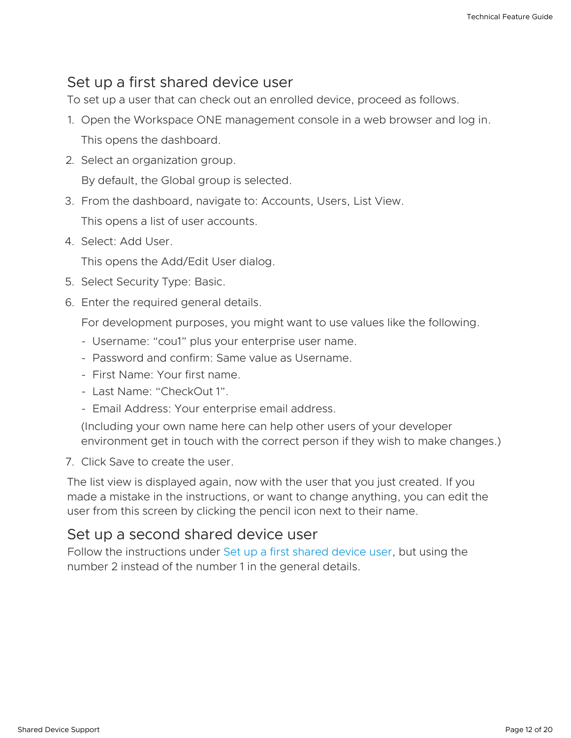#### <span id="page-11-0"></span>Set up a first shared device user

To set up a user that can check out an enrolled device, proceed as follows.

- 1. Open the Workspace ONE management console in a web browser and log in. This opens the dashboard.
- 2. Select an organization group.

By default, the Global group is selected.

3. From the dashboard, navigate to: Accounts, Users, List View.

This opens a list of user accounts.

4. Select: Add User.

This opens the Add/Edit User dialog.

- 5. Select Security Type: Basic.
- 6. Enter the required general details.

For development purposes, you might want to use values like the following.

- Username: "cou1" plus your enterprise user name.
- Password and confirm: Same value as Username. -
- First Name: Your first name.
- Last Name: "CheckOut 1".
- Email Address: Your enterprise email address.

(Including your own name here can help other users of your developer environment get in touch with the correct person if they wish to make changes.)

7. Click Save to create the user.

The list view is displayed again, now with the user that you just created. If you made a mistake in the instructions, or want to change anything, you can edit the user from this screen by clicking the pencil icon next to their name.

#### Set up a second shared device user

Follow the instructions under Set up a first [shared](#page-11-0) device user, but using the number 2 instead of the number 1 in the general details.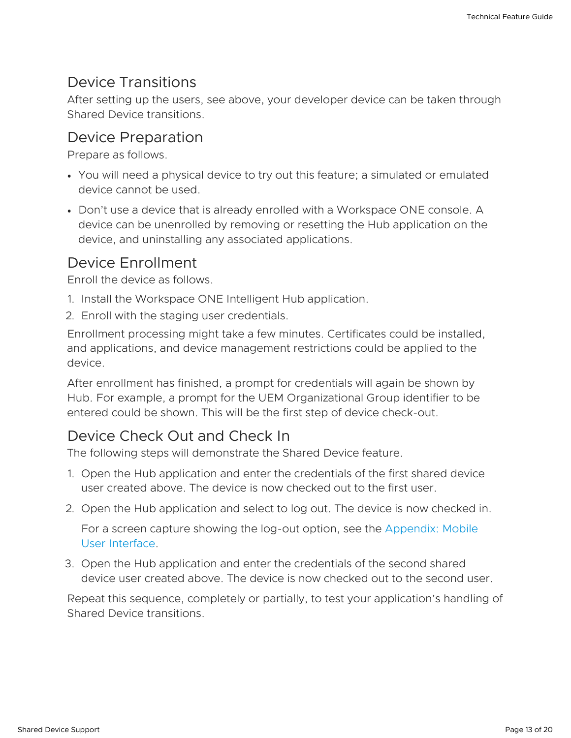#### <span id="page-12-0"></span>Device Transitions

After setting up the users, see above, your developer device can be taken through Shared Device transitions.

#### Device Preparation

Prepare as follows.

- You will need a physical device to try out this feature; a simulated or emulated device cannot be used.
- Don't use a device that is already enrolled with a Workspace ONE console. A device can be unenrolled by removing or resetting the Hub application on the device, and uninstalling any associated applications.

#### Device Enrollment

Enroll the device as follows.

- 1. Install the Workspace ONE Intelligent Hub application.
- 2. Enroll with the staging user credentials.

Enrollment processing might take a few minutes. Certificates could be installed, and applications, and device management restrictions could be applied to the device.

After enrollment has finished, a prompt for credentials will again be shown by Hub. For example, a prompt for the UEM Organizational Group identifier to be entered could be shown. This will be the first step of device check-out.

## Device Check Out and Check In

The following steps will demonstrate the Shared Device feature.

- 1. Open the Hub application and enter the credentials of the first shared device user created above. The device is now checked out to the first user.
- 2. Open the Hub application and select to log out. The device is now checked in.

For a screen capture showing the log-out option, see the [Appendix:](#page-18-0) Mobile User Interface.

3. Open the Hub application and enter the credentials of the second shared device user created above. The device is now checked out to the second user.

Repeat this sequence, completely or partially, to test your application's handling of Shared Device transitions.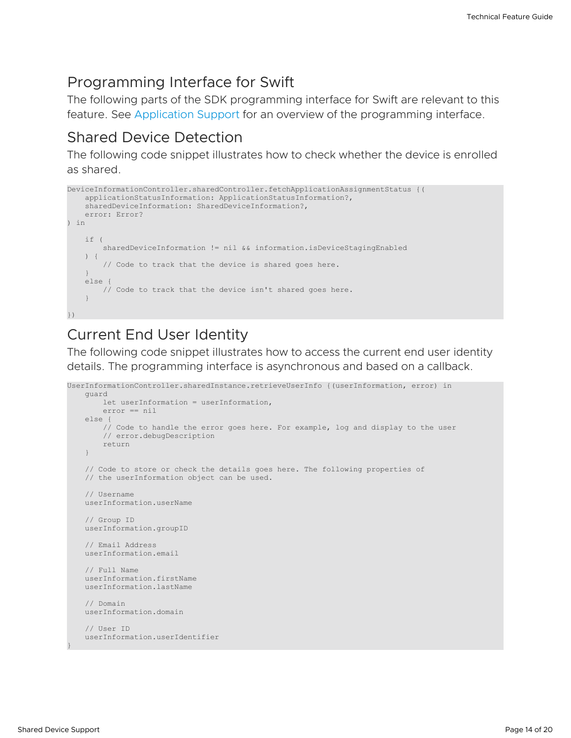#### <span id="page-13-0"></span>Programming Interface for Swift

The following parts of the SDK programming interface for Swift are relevant to this feature. See [Application](#page-5-0) Support for an overview of the programming interface.

#### Shared Device Detection

The following code snippet illustrates how to check whether the device is enrolled as shared.

```
DeviceInformationController.sharedController.fetchApplicationAssignmentStatus {(
   applicationStatusInformation: ApplicationStatusInformation?,
   sharedDeviceInformation: SharedDeviceInformation?,
   error: Error?
) in
   if (
       sharedDeviceInformation != nil && information.isDeviceStagingEnabled
   ) {
       // Code to track that the device is shared goes here.
   }
   else {
       // Code to track that the device isn't shared goes here.
   }
})
```
## Current End User Identity

The following code snippet illustrates how to access the current end user identity details. The programming interface is asynchronous and based on a callback.

```
UserInformationController.sharedInstance.retrieveUserInfo {(userInformation, error) in
   guard
       let userInformation = userInformation,
       error == nil
   else {
       // Code to handle the error goes here. For example, log and display to the user
       // error.debugDescription
       return
   }
   // Code to store or check the details goes here. The following properties of
   // the userInformation object can be used.
   // Username
   userInformation.userName
   // Group ID
   userInformation.groupID
   // Email Address
   userInformation.email
   // Full Name
   userInformation.firstName
   userInformation.lastName
   // Domain
   userInformation.domain
   // User ID
   userInformation.userIdentifier
```
}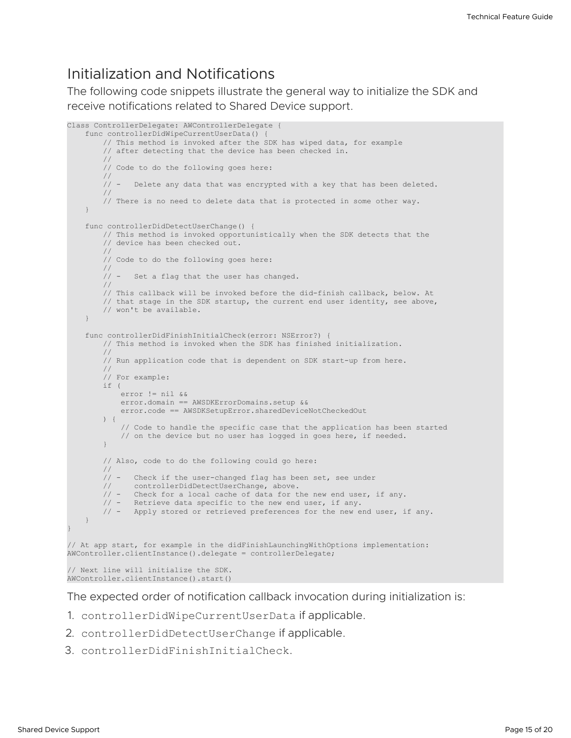#### Initialization and Notifications

The following code snippets illustrate the general way to initialize the SDK and receive notifications related to Shared Device support.

```
Class ControllerDelegate: AWControllerDelegate {
    func controllerDidWipeCurrentUserData() {
        // This method is invoked after the SDK has wiped data, for example
        // after detecting that the device has been checked in.
        //
        // Code to do the following goes here:
        //<br>// –
               Delete any data that was encrypted with a key that has been deleted.
        //
        // There is no need to delete data that is protected in some other way.
    }
    func controllerDidDetectUserChange() {
        // This method is invoked opportunistically when the SDK detects that the
        // device has been checked out.
        //
        // Code to do the following goes here:
        //
        // - Set a flag that the user has changed.
        //
        // This callback will be invoked before the did-finish callback, below. At
        // that stage in the SDK startup, the current end user identity, see above,
        // won't be available.
    }
    func controllerDidFinishInitialCheck(error: NSError?) {
        // This method is invoked when the SDK has finished initialization.
        //
        // Run application code that is dependent on SDK start-up from here.
        //
        // For example:
        if (
           error != nil &&
            error.domain == AWSDKErrorDomains.setup &&
            error.code == AWSDKSetupError.sharedDeviceNotCheckedOut
        ) {
            // Code to handle the specific case that the application has been started
            // on the device but no user has logged in goes here, if needed.
        }
        // Also, code to do the following could go here:
        //
        // - Check if the user-changed flag has been set, see under<br>// controllerDidDetectUserChange, above.
               controllerDidDetectUserChange, above.
        \frac{1}{4} - Check for a local cache of data for the new end user, if any.
        // - Retrieve data specific to the new end user, if any.
        // - Apply stored or retrieved preferences for the new end user, if any.
    }
}
// At app start, for example in the didFinishLaunchingWithOptions implementation:
AWController.clientInstance().delegate = controllerDelegate;
```
// Next line will initialize the SDK. AWController.clientInstance().start()

The expected order of notification callback invocation during initialization is:

- 1. controllerDidWipeCurrentUserData if applicable.
- 2. controllerDidDetectUserChange if applicable.
- 3. controllerDidFinishInitialCheck.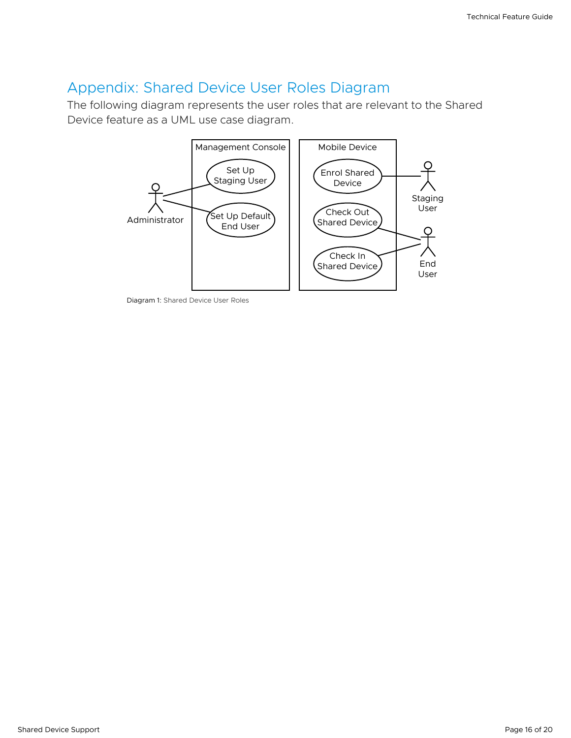## <span id="page-15-0"></span>Appendix: Shared Device User Roles Diagram

The following diagram represents the user roles that are relevant to the Shared Device feature as a UML use case diagram.



Diagram 1: Shared Device User Roles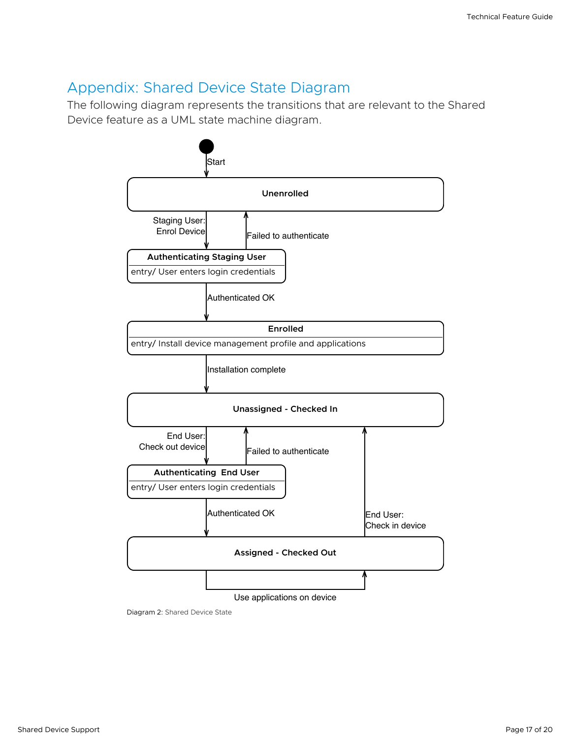#### <span id="page-16-0"></span>Appendix: Shared Device State Diagram

The following diagram represents the transitions that are relevant to the Shared Device feature as a UML state machine diagram.



Diagram 2: Shared Device State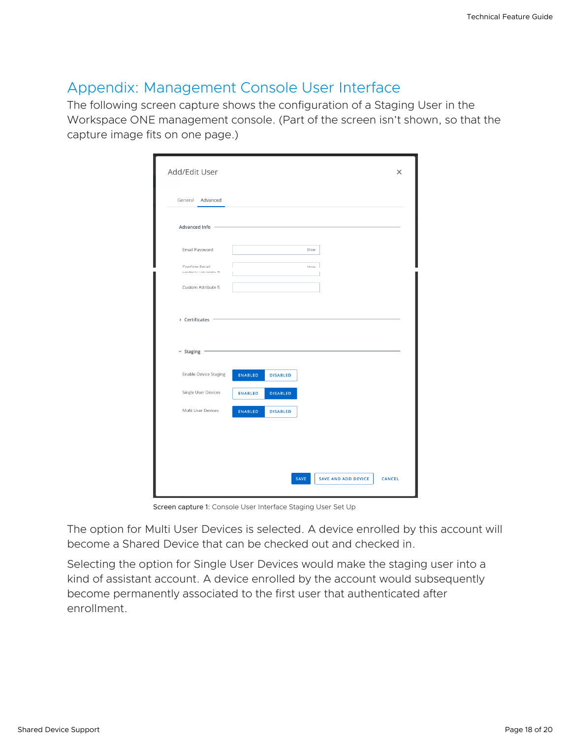## <span id="page-17-0"></span>Appendix: Management Console User Interface

The following screen capture shows the configuration of a Staging User in the Workspace ONE management console. (Part of the screen isn't shown, so that the capture image fits on one page.)

| General Advanced<br>Advanced Info -<br>Email Password<br>Show<br>Confirm Email<br>Show<br>SALAMATI PASTISTAN -<br>Custom Attribute 5<br>> Certificates<br>$~\times$ Staging<br><b>Enable Device Staging</b><br>ENABLED<br><b>DISABLED</b> | Single User Devices<br><b>DISABLED</b><br><b>ENABLED</b><br>Multi User Devices<br>ENABLED<br><b>DISABLED</b> |  |  |  |  |
|-------------------------------------------------------------------------------------------------------------------------------------------------------------------------------------------------------------------------------------------|--------------------------------------------------------------------------------------------------------------|--|--|--|--|
|                                                                                                                                                                                                                                           |                                                                                                              |  |  |  |  |
|                                                                                                                                                                                                                                           |                                                                                                              |  |  |  |  |
|                                                                                                                                                                                                                                           |                                                                                                              |  |  |  |  |
|                                                                                                                                                                                                                                           |                                                                                                              |  |  |  |  |
|                                                                                                                                                                                                                                           |                                                                                                              |  |  |  |  |
|                                                                                                                                                                                                                                           |                                                                                                              |  |  |  |  |
|                                                                                                                                                                                                                                           |                                                                                                              |  |  |  |  |
|                                                                                                                                                                                                                                           |                                                                                                              |  |  |  |  |
|                                                                                                                                                                                                                                           |                                                                                                              |  |  |  |  |
|                                                                                                                                                                                                                                           |                                                                                                              |  |  |  |  |
|                                                                                                                                                                                                                                           |                                                                                                              |  |  |  |  |
|                                                                                                                                                                                                                                           |                                                                                                              |  |  |  |  |

Screen capture 1: Console User Interface Staging User Set Up

The option for Multi User Devices is selected. A device enrolled by this account will become a Shared Device that can be checked out and checked in.

Selecting the option for Single User Devices would make the staging user into a kind of assistant account. A device enrolled by the account would subsequently become permanently associated to the first user that authenticated after enrollment.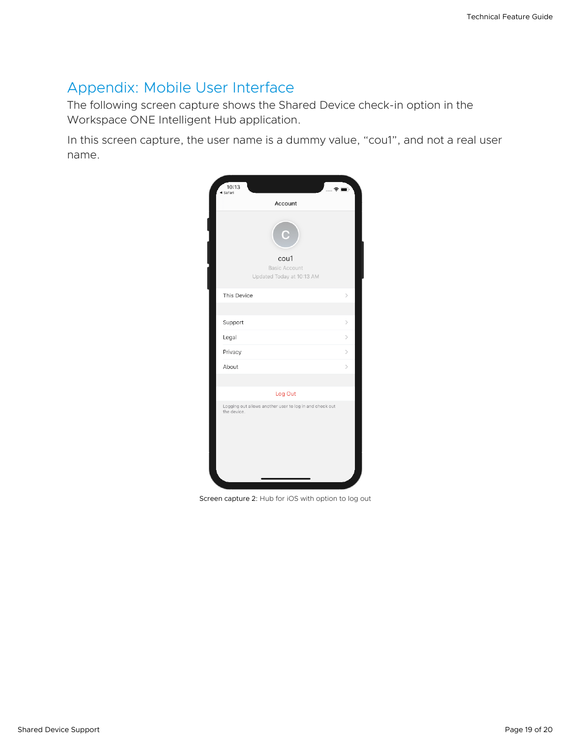# <span id="page-18-0"></span>Appendix: Mobile User Interface

The following screen capture shows the Shared Device check-in option in the Workspace ONE Intelligent Hub application.

In this screen capture, the user name is a dummy value, "cou1", and not a real user name.

| 10:13<br>. ຣ<br>◀ Safari                                               | n)                           |
|------------------------------------------------------------------------|------------------------------|
| Account                                                                |                              |
| Ć<br>cou1<br><b>Basic Account</b><br>Updated Today at 10:13 AM         |                              |
| This Device                                                            | $\mathcal{P}$                |
|                                                                        |                              |
| Support                                                                | $\left\langle \right\rangle$ |
| Legal                                                                  | $\mathcal{P}$                |
| Privacy                                                                | $\left\langle \right\rangle$ |
| About                                                                  | $\mathcal{P}$                |
|                                                                        |                              |
| Log Out                                                                |                              |
| Logging out allows another user to log in and check out<br>the device. |                              |

Screen capture 2: Hub for iOS with option to log out